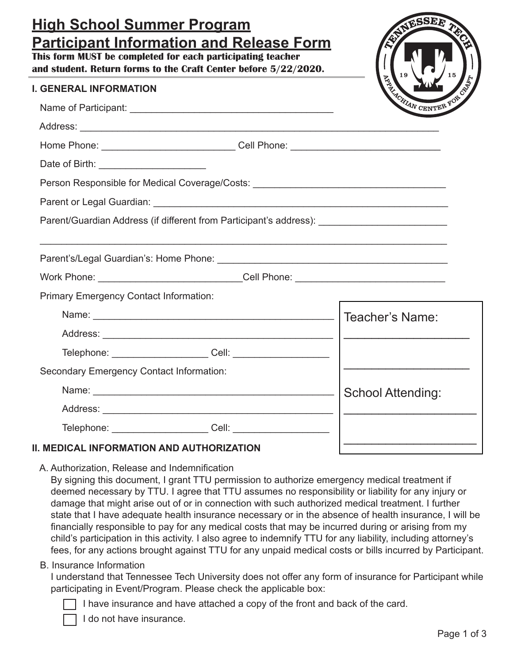# **High School Summer Program Participant Information and Release Form**

**This form MUST be completed for each participating teacher and student. Return forms to the Craft Center before 5/22/2020.**

### **I. GENERAL INFORMATION**



|                                                                                                     |                                                                                  | <b>CENTER</b>            |  |
|-----------------------------------------------------------------------------------------------------|----------------------------------------------------------------------------------|--------------------------|--|
|                                                                                                     |                                                                                  |                          |  |
| Home Phone: _______________________________Cell Phone: _________________________                    |                                                                                  |                          |  |
|                                                                                                     |                                                                                  |                          |  |
| Person Responsible for Medical Coverage/Costs: _________________________________                    |                                                                                  |                          |  |
|                                                                                                     |                                                                                  |                          |  |
| Parent/Guardian Address (if different from Participant's address): ________________________________ |                                                                                  |                          |  |
|                                                                                                     |                                                                                  |                          |  |
|                                                                                                     |                                                                                  |                          |  |
|                                                                                                     | Work Phone: ____________________________Cell Phone: ____________________________ |                          |  |
| <b>Primary Emergency Contact Information:</b>                                                       |                                                                                  |                          |  |
|                                                                                                     |                                                                                  |                          |  |
|                                                                                                     |                                                                                  |                          |  |
| Telephone: _____________________Cell: _____________________                                         |                                                                                  |                          |  |
| Secondary Emergency Contact Information:                                                            |                                                                                  |                          |  |
|                                                                                                     |                                                                                  | <b>School Attending:</b> |  |
|                                                                                                     |                                                                                  |                          |  |
| Telephone: _____________________Cell: _____________________                                         |                                                                                  |                          |  |
| <b>II. MEDICAL INFORMATION AND AUTHORIZATION</b>                                                    |                                                                                  |                          |  |

A. Authorization, Release and Indemnification

By signing this document, I grant TTU permission to authorize emergency medical treatment if deemed necessary by TTU. I agree that TTU assumes no responsibility or liability for any injury or damage that might arise out of or in connection with such authorized medical treatment. I further state that I have adequate health insurance necessary or in the absence of health insurance, I will be financially responsible to pay for any medical costs that may be incurred during or arising from my child's participation in this activity. I also agree to indemnify TTU for any liability, including attorney's fees, for any actions brought against TTU for any unpaid medical costs or bills incurred by Participant.

## B. Insurance Information

I understand that Tennessee Tech University does not offer any form of insurance for Participant while participating in Event/Program. Please check the applicable box:

I have insurance and have attached a copy of the front and back of the card.

I do not have insurance.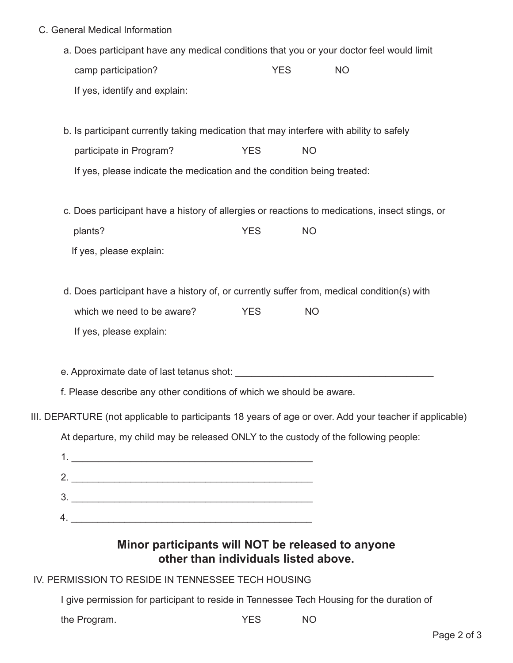- C. General Medical Information
	- a. Does participant have any medical conditions that you or your doctor feel would limit camp participation? The MO VES NO If yes, identify and explain:
	- b. Is participant currently taking medication that may interfere with ability to safely participate in Program? THES NO If yes, please indicate the medication and the condition being treated:
	- c. Does participant have a history of allergies or reactions to medications, insect stings, or plants? NO If yes, please explain:
	- d. Does participant have a history of, or currently suffer from, medical condition(s) with which we need to be aware? The SNS YES NO If yes, please explain:

e. Approximate date of last tetanus shot:  $\blacksquare$ 

f. Please describe any other conditions of which we should be aware.

III. DEPARTURE (not applicable to participants 18 years of age or over. Add your teacher if applicable)

At departure, my child may be released ONLY to the custody of the following people:

# **Minor participants will NOT be released to anyone other than individuals listed above.**

## IV. PERMISSION TO RESIDE IN TENNESSEE TECH HOUSING

I give permission for participant to reside in Tennessee Tech Housing for the duration of